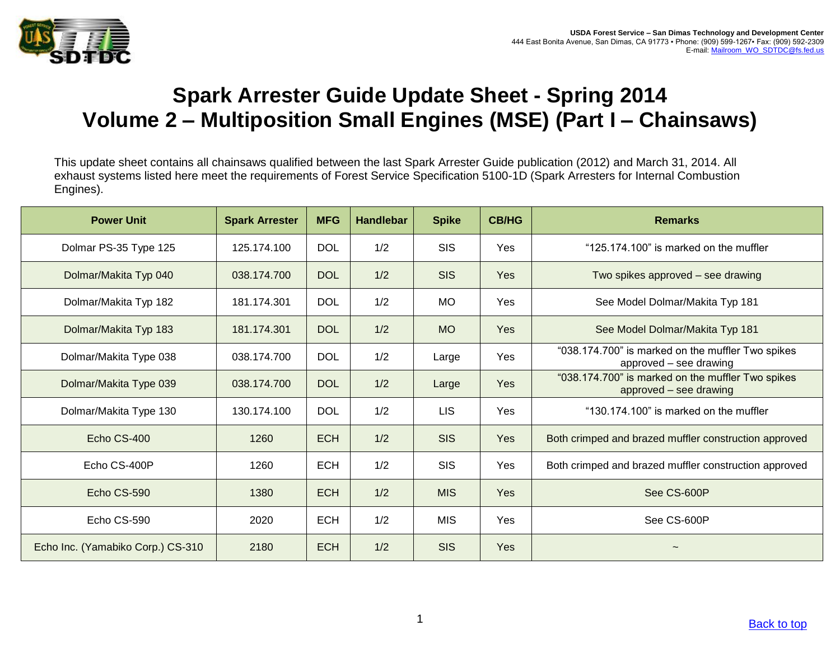

## <span id="page-0-0"></span>**Spark Arrester Guide Update Sheet - Spring 2014 Volume 2 – Multiposition Small Engines (MSE) (Part I – Chainsaws)**

This update sheet contains all chainsaws qualified between the last Spark Arrester Guide publication (2012) and March 31, 2014. All exhaust systems listed here meet the requirements of Forest Service Specification 5100-1D (Spark Arresters for Internal Combustion Engines).

| <b>Power Unit</b>                 | <b>Spark Arrester</b> | <b>MFG</b> | <b>Handlebar</b> | <b>Spike</b> | <b>CB/HG</b> | <b>Remarks</b>                                                              |
|-----------------------------------|-----------------------|------------|------------------|--------------|--------------|-----------------------------------------------------------------------------|
| Dolmar PS-35 Type 125             | 125.174.100           | <b>DOL</b> | 1/2              | <b>SIS</b>   | <b>Yes</b>   | "125.174.100" is marked on the muffler                                      |
| Dolmar/Makita Typ 040             | 038.174.700           | <b>DOL</b> | 1/2              | <b>SIS</b>   | Yes          | Two spikes approved – see drawing                                           |
| Dolmar/Makita Typ 182             | 181.174.301           | <b>DOL</b> | 1/2              | <b>MO</b>    | Yes          | See Model Dolmar/Makita Typ 181                                             |
| Dolmar/Makita Typ 183             | 181.174.301           | <b>DOL</b> | 1/2              | <b>MO</b>    | Yes          | See Model Dolmar/Makita Typ 181                                             |
| Dolmar/Makita Type 038            | 038.174.700           | <b>DOL</b> | 1/2              | Large        | Yes          | "038.174.700" is marked on the muffler Two spikes<br>approved - see drawing |
| Dolmar/Makita Type 039            | 038.174.700           | <b>DOL</b> | 1/2              | Large        | Yes          | "038.174.700" is marked on the muffler Two spikes<br>approved - see drawing |
| Dolmar/Makita Type 130            | 130.174.100           | <b>DOL</b> | 1/2              | <b>LIS</b>   | Yes          | "130.174.100" is marked on the muffler                                      |
| Echo CS-400                       | 1260                  | <b>ECH</b> | 1/2              | <b>SIS</b>   | Yes          | Both crimped and brazed muffler construction approved                       |
| Echo CS-400P                      | 1260                  | <b>ECH</b> | 1/2              | <b>SIS</b>   | Yes          | Both crimped and brazed muffler construction approved                       |
| Echo CS-590                       | 1380                  | <b>ECH</b> | 1/2              | <b>MIS</b>   | Yes          | See CS-600P                                                                 |
| Echo CS-590                       | 2020                  | <b>ECH</b> | 1/2              | <b>MIS</b>   | Yes          | See CS-600P                                                                 |
| Echo Inc. (Yamabiko Corp.) CS-310 | 2180                  | <b>ECH</b> | 1/2              | <b>SIS</b>   | Yes          |                                                                             |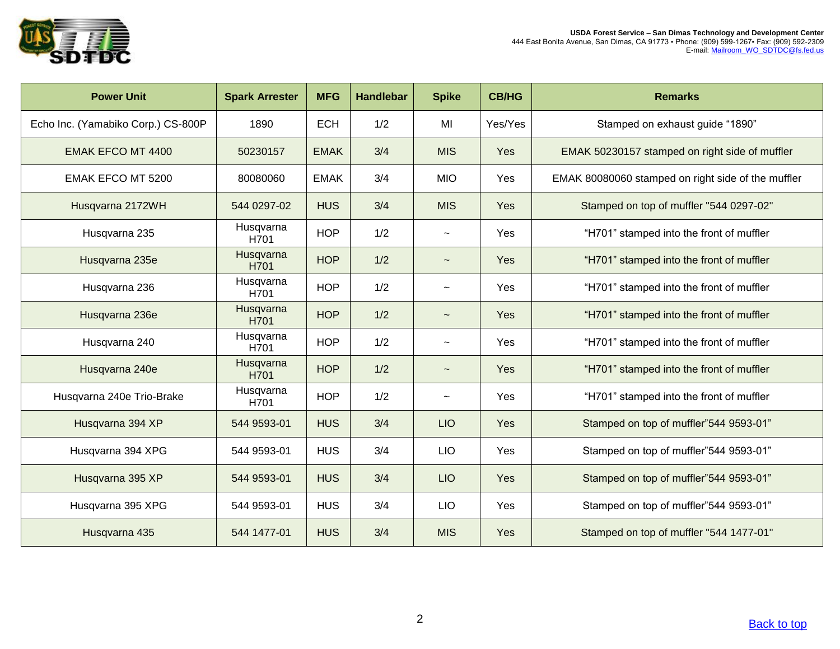

| <b>Power Unit</b>                  | <b>Spark Arrester</b> | <b>MFG</b>  | <b>Handlebar</b> | <b>Spike</b>          | <b>CB/HG</b> | <b>Remarks</b>                                     |
|------------------------------------|-----------------------|-------------|------------------|-----------------------|--------------|----------------------------------------------------|
| Echo Inc. (Yamabiko Corp.) CS-800P | 1890                  | <b>ECH</b>  | 1/2              | MI                    | Yes/Yes      | Stamped on exhaust guide "1890"                    |
| <b>EMAK EFCO MT 4400</b>           | 50230157              | <b>EMAK</b> | 3/4              | <b>MIS</b>            | Yes          | EMAK 50230157 stamped on right side of muffler     |
| <b>EMAK EFCO MT 5200</b>           | 80080060              | <b>EMAK</b> | 3/4              | <b>MIO</b>            | <b>Yes</b>   | EMAK 80080060 stamped on right side of the muffler |
| Husqvarna 2172WH                   | 544 0297-02           | <b>HUS</b>  | 3/4              | <b>MIS</b>            | Yes          | Stamped on top of muffler "544 0297-02"            |
| Husqvarna 235                      | Husqvarna<br>H701     | <b>HOP</b>  | 1/2              | $\tilde{}$            | Yes          | "H701" stamped into the front of muffler           |
| Husqvarna 235e                     | Husqvarna<br>H701     | <b>HOP</b>  | 1/2              | $\tilde{}$            | Yes          | "H701" stamped into the front of muffler           |
| Husqvarna 236                      | Husqvarna<br>H701     | <b>HOP</b>  | 1/2              | $\tilde{}$            | Yes          | "H701" stamped into the front of muffler           |
| Husqvarna 236e                     | Husqvarna<br>H701     | <b>HOP</b>  | 1/2              | $\tilde{\phantom{m}}$ | Yes          | "H701" stamped into the front of muffler           |
| Husqvarna 240                      | Husqvarna<br>H701     | <b>HOP</b>  | 1/2              | $\tilde{}$            | Yes          | "H701" stamped into the front of muffler           |
| Husqvarna 240e                     | Husqvarna<br>H701     | <b>HOP</b>  | 1/2              |                       | Yes          | "H701" stamped into the front of muffler           |
| Husqvarna 240e Trio-Brake          | Husqvarna<br>H701     | <b>HOP</b>  | 1/2              | $\tilde{\phantom{a}}$ | Yes          | "H701" stamped into the front of muffler           |
| Husqvarna 394 XP                   | 544 9593-01           | <b>HUS</b>  | 3/4              | <b>LIO</b>            | Yes          | Stamped on top of muffler"544 9593-01"             |
| Husqvarna 394 XPG                  | 544 9593-01           | <b>HUS</b>  | 3/4              | <b>LIO</b>            | Yes          | Stamped on top of muffler"544 9593-01"             |
| Husqvarna 395 XP                   | 544 9593-01           | <b>HUS</b>  | 3/4              | <b>LIO</b>            | Yes          | Stamped on top of muffler"544 9593-01"             |
| Husqvarna 395 XPG                  | 544 9593-01           | <b>HUS</b>  | 3/4              | <b>LIO</b>            | Yes          | Stamped on top of muffler"544 9593-01"             |
| Husqvarna 435                      | 544 1477-01           | <b>HUS</b>  | 3/4              | <b>MIS</b>            | Yes          | Stamped on top of muffler "544 1477-01"            |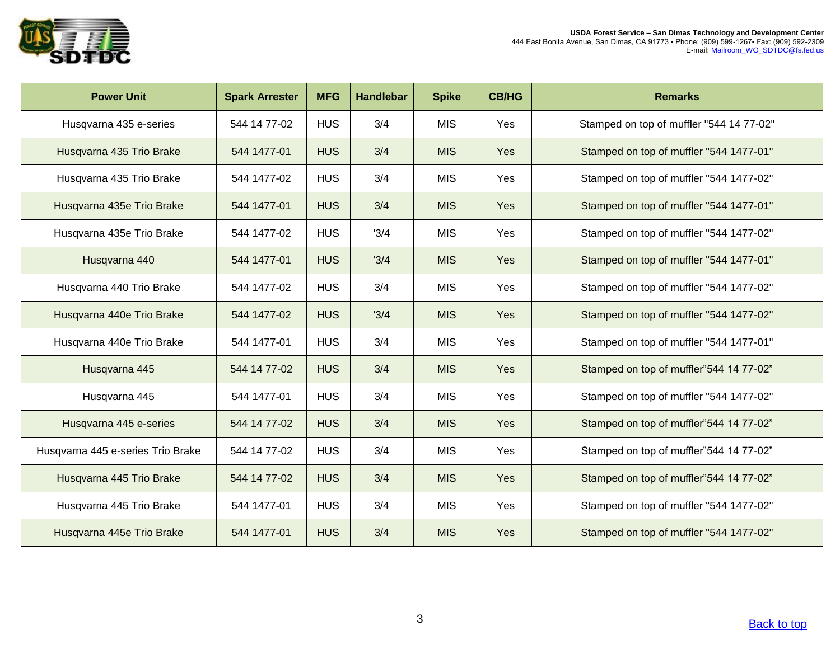

| <b>Power Unit</b>                 | <b>Spark Arrester</b> | <b>MFG</b> | <b>Handlebar</b> | <b>Spike</b> | <b>CB/HG</b> | <b>Remarks</b>                           |
|-----------------------------------|-----------------------|------------|------------------|--------------|--------------|------------------------------------------|
| Husqvarna 435 e-series            | 544 14 77-02          | <b>HUS</b> | 3/4              | <b>MIS</b>   | Yes          | Stamped on top of muffler "544 14 77-02" |
| Husqvarna 435 Trio Brake          | 544 1477-01           | <b>HUS</b> | 3/4              | <b>MIS</b>   | Yes          | Stamped on top of muffler "544 1477-01"  |
| Husqvarna 435 Trio Brake          | 544 1477-02           | <b>HUS</b> | 3/4              | <b>MIS</b>   | Yes          | Stamped on top of muffler "544 1477-02"  |
| Husqvarna 435e Trio Brake         | 544 1477-01           | <b>HUS</b> | 3/4              | <b>MIS</b>   | Yes          | Stamped on top of muffler "544 1477-01"  |
| Husqvarna 435e Trio Brake         | 544 1477-02           | <b>HUS</b> | '3/4             | <b>MIS</b>   | Yes          | Stamped on top of muffler "544 1477-02"  |
| Husqvarna 440                     | 544 1477-01           | <b>HUS</b> | '3/4             | <b>MIS</b>   | Yes          | Stamped on top of muffler "544 1477-01"  |
| Husqvarna 440 Trio Brake          | 544 1477-02           | <b>HUS</b> | 3/4              | <b>MIS</b>   | Yes          | Stamped on top of muffler "544 1477-02"  |
| Husqvarna 440e Trio Brake         | 544 1477-02           | <b>HUS</b> | '3/4             | <b>MIS</b>   | Yes          | Stamped on top of muffler "544 1477-02"  |
| Husqvarna 440e Trio Brake         | 544 1477-01           | <b>HUS</b> | 3/4              | <b>MIS</b>   | Yes          | Stamped on top of muffler "544 1477-01"  |
| Husqvarna 445                     | 544 14 77-02          | <b>HUS</b> | 3/4              | <b>MIS</b>   | Yes          | Stamped on top of muffler"544 14 77-02"  |
| Husqvarna 445                     | 544 1477-01           | <b>HUS</b> | 3/4              | <b>MIS</b>   | Yes          | Stamped on top of muffler "544 1477-02"  |
| Husqvarna 445 e-series            | 544 14 77-02          | <b>HUS</b> | 3/4              | <b>MIS</b>   | Yes          | Stamped on top of muffler"544 14 77-02"  |
| Husqvarna 445 e-series Trio Brake | 544 14 77-02          | <b>HUS</b> | 3/4              | <b>MIS</b>   | Yes          | Stamped on top of muffler"544 14 77-02"  |
| Husqvarna 445 Trio Brake          | 544 14 77-02          | <b>HUS</b> | 3/4              | <b>MIS</b>   | Yes          | Stamped on top of muffler"544 14 77-02"  |
| Husqvarna 445 Trio Brake          | 544 1477-01           | <b>HUS</b> | 3/4              | <b>MIS</b>   | Yes          | Stamped on top of muffler "544 1477-02"  |
| Husqvarna 445e Trio Brake         | 544 1477-01           | <b>HUS</b> | 3/4              | <b>MIS</b>   | Yes          | Stamped on top of muffler "544 1477-02"  |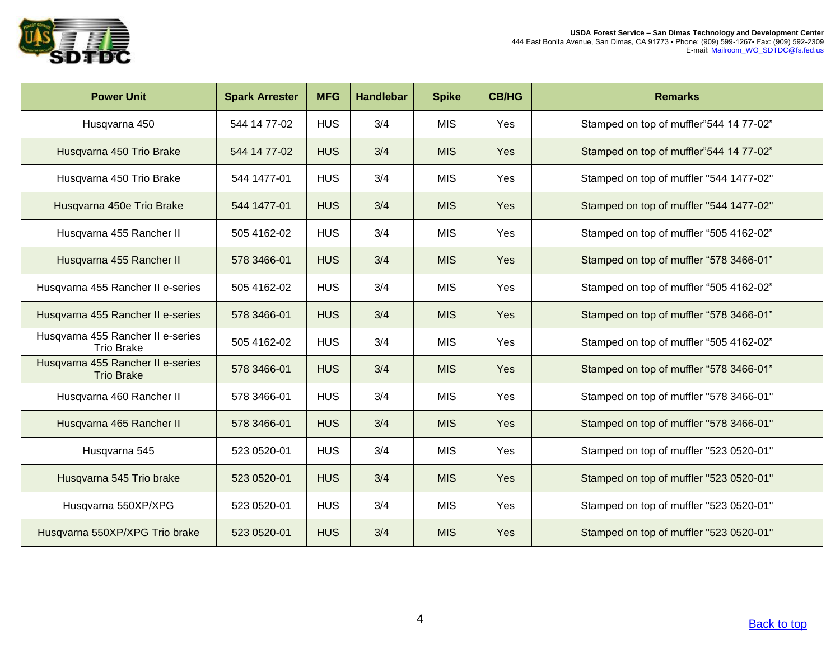

| <b>Power Unit</b>                                      | <b>Spark Arrester</b> | <b>MFG</b> | <b>Handlebar</b> | <b>Spike</b> | <b>CB/HG</b> | <b>Remarks</b>                          |
|--------------------------------------------------------|-----------------------|------------|------------------|--------------|--------------|-----------------------------------------|
| Husqvarna 450                                          | 544 14 77-02          | <b>HUS</b> | 3/4              | <b>MIS</b>   | Yes          | Stamped on top of muffler"544 14 77-02" |
| Husqvarna 450 Trio Brake                               | 544 14 77-02          | <b>HUS</b> | 3/4              | <b>MIS</b>   | Yes          | Stamped on top of muffler"544 14 77-02" |
| Husqvarna 450 Trio Brake                               | 544 1477-01           | <b>HUS</b> | 3/4              | <b>MIS</b>   | Yes          | Stamped on top of muffler "544 1477-02" |
| Husqvarna 450e Trio Brake                              | 544 1477-01           | <b>HUS</b> | 3/4              | <b>MIS</b>   | Yes          | Stamped on top of muffler "544 1477-02" |
| Husqvarna 455 Rancher II                               | 505 4162-02           | <b>HUS</b> | 3/4              | <b>MIS</b>   | Yes          | Stamped on top of muffler "505 4162-02" |
| Husqvarna 455 Rancher II                               | 578 3466-01           | <b>HUS</b> | 3/4              | <b>MIS</b>   | Yes          | Stamped on top of muffler "578 3466-01" |
| Husqvarna 455 Rancher II e-series                      | 505 4162-02           | <b>HUS</b> | 3/4              | <b>MIS</b>   | Yes          | Stamped on top of muffler "505 4162-02" |
| Husqvarna 455 Rancher II e-series                      | 578 3466-01           | <b>HUS</b> | 3/4              | <b>MIS</b>   | Yes          | Stamped on top of muffler "578 3466-01" |
| Husqvarna 455 Rancher II e-series<br><b>Trio Brake</b> | 505 4162-02           | <b>HUS</b> | 3/4              | <b>MIS</b>   | Yes          | Stamped on top of muffler "505 4162-02" |
| Husqvarna 455 Rancher II e-series<br><b>Trio Brake</b> | 578 3466-01           | <b>HUS</b> | 3/4              | <b>MIS</b>   | Yes          | Stamped on top of muffler "578 3466-01" |
| Husqvarna 460 Rancher II                               | 578 3466-01           | <b>HUS</b> | 3/4              | <b>MIS</b>   | Yes          | Stamped on top of muffler "578 3466-01" |
| Husqvarna 465 Rancher II                               | 578 3466-01           | <b>HUS</b> | 3/4              | <b>MIS</b>   | Yes          | Stamped on top of muffler "578 3466-01" |
| Husqvarna 545                                          | 523 0520-01           | <b>HUS</b> | 3/4              | <b>MIS</b>   | <b>Yes</b>   | Stamped on top of muffler "523 0520-01" |
| Husqvarna 545 Trio brake                               | 523 0520-01           | <b>HUS</b> | 3/4              | <b>MIS</b>   | Yes          | Stamped on top of muffler "523 0520-01" |
| Husqvarna 550XP/XPG                                    | 523 0520-01           | <b>HUS</b> | 3/4              | <b>MIS</b>   | Yes          | Stamped on top of muffler "523 0520-01" |
| Husqvarna 550XP/XPG Trio brake                         | 523 0520-01           | <b>HUS</b> | 3/4              | <b>MIS</b>   | Yes          | Stamped on top of muffler "523 0520-01" |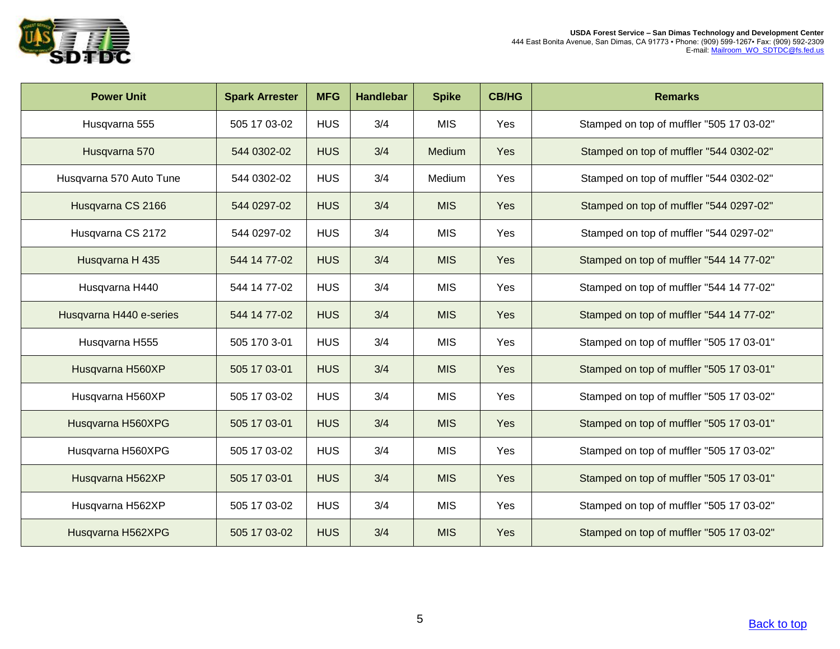

| <b>Power Unit</b>       | <b>Spark Arrester</b> | <b>MFG</b> | <b>Handlebar</b> | <b>Spike</b>  | <b>CB/HG</b> | <b>Remarks</b>                           |
|-------------------------|-----------------------|------------|------------------|---------------|--------------|------------------------------------------|
| Husqvarna 555           | 505 17 03-02          | <b>HUS</b> | 3/4              | <b>MIS</b>    | Yes          | Stamped on top of muffler "505 17 03-02" |
| Husqvarna 570           | 544 0302-02           | <b>HUS</b> | 3/4              | <b>Medium</b> | <b>Yes</b>   | Stamped on top of muffler "544 0302-02"  |
| Husqvarna 570 Auto Tune | 544 0302-02           | <b>HUS</b> | 3/4              | Medium        | Yes          | Stamped on top of muffler "544 0302-02"  |
| Husqvarna CS 2166       | 544 0297-02           | <b>HUS</b> | 3/4              | <b>MIS</b>    | <b>Yes</b>   | Stamped on top of muffler "544 0297-02"  |
| Husqvarna CS 2172       | 544 0297-02           | <b>HUS</b> | 3/4              | <b>MIS</b>    | Yes          | Stamped on top of muffler "544 0297-02"  |
| Husqvarna H 435         | 544 14 77-02          | <b>HUS</b> | 3/4              | <b>MIS</b>    | <b>Yes</b>   | Stamped on top of muffler "544 14 77-02" |
| Husqvarna H440          | 544 14 77-02          | <b>HUS</b> | 3/4              | <b>MIS</b>    | Yes          | Stamped on top of muffler "544 14 77-02" |
| Husqvarna H440 e-series | 544 14 77-02          | <b>HUS</b> | 3/4              | <b>MIS</b>    | Yes          | Stamped on top of muffler "544 14 77-02" |
| Husqvarna H555          | 505 170 3-01          | <b>HUS</b> | 3/4              | <b>MIS</b>    | <b>Yes</b>   | Stamped on top of muffler "505 17 03-01" |
| Husqvarna H560XP        | 505 17 03-01          | <b>HUS</b> | 3/4              | <b>MIS</b>    | Yes          | Stamped on top of muffler "505 17 03-01" |
| Husqvarna H560XP        | 505 17 03-02          | <b>HUS</b> | 3/4              | <b>MIS</b>    | Yes          | Stamped on top of muffler "505 17 03-02" |
| Husqvarna H560XPG       | 505 17 03-01          | <b>HUS</b> | 3/4              | <b>MIS</b>    | Yes          | Stamped on top of muffler "505 17 03-01" |
| Husqvarna H560XPG       | 505 17 03-02          | <b>HUS</b> | 3/4              | <b>MIS</b>    | Yes          | Stamped on top of muffler "505 17 03-02" |
| Husqvarna H562XP        | 505 17 03-01          | <b>HUS</b> | 3/4              | <b>MIS</b>    | <b>Yes</b>   | Stamped on top of muffler "505 17 03-01" |
| Husqvarna H562XP        | 505 17 03-02          | <b>HUS</b> | 3/4              | <b>MIS</b>    | Yes          | Stamped on top of muffler "505 17 03-02" |
| Husqvarna H562XPG       | 505 17 03-02          | <b>HUS</b> | 3/4              | <b>MIS</b>    | Yes          | Stamped on top of muffler "505 17 03-02" |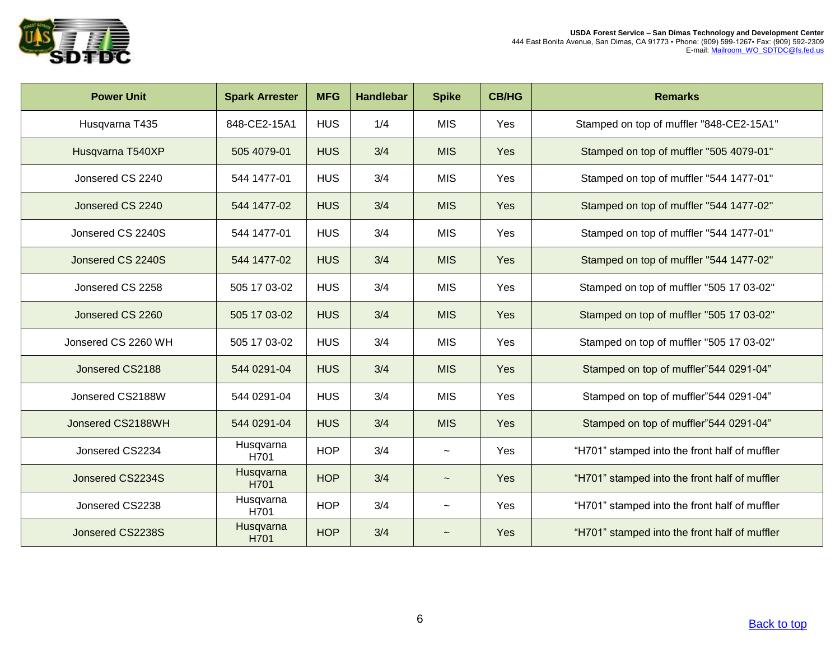

| <b>Power Unit</b>   | <b>Spark Arrester</b> | <b>MFG</b> | <b>Handlebar</b> | <b>Spike</b>              | <b>CB/HG</b> | <b>Remarks</b>                                |
|---------------------|-----------------------|------------|------------------|---------------------------|--------------|-----------------------------------------------|
| Husqvarna T435      | 848-CE2-15A1          | <b>HUS</b> | 1/4              | <b>MIS</b>                | Yes          | Stamped on top of muffler "848-CE2-15A1"      |
| Husqvarna T540XP    | 505 4079-01           | <b>HUS</b> | 3/4              | <b>MIS</b>                | Yes          | Stamped on top of muffler "505 4079-01"       |
| Jonsered CS 2240    | 544 1477-01           | <b>HUS</b> | 3/4              | <b>MIS</b>                | Yes          | Stamped on top of muffler "544 1477-01"       |
| Jonsered CS 2240    | 544 1477-02           | <b>HUS</b> | 3/4              | <b>MIS</b>                | Yes          | Stamped on top of muffler "544 1477-02"       |
| Jonsered CS 2240S   | 544 1477-01           | <b>HUS</b> | 3/4              | <b>MIS</b>                | Yes          | Stamped on top of muffler "544 1477-01"       |
| Jonsered CS 2240S   | 544 1477-02           | <b>HUS</b> | 3/4              | <b>MIS</b>                | Yes          | Stamped on top of muffler "544 1477-02"       |
| Jonsered CS 2258    | 505 17 03-02          | <b>HUS</b> | 3/4              | <b>MIS</b>                | Yes          | Stamped on top of muffler "505 17 03-02"      |
| Jonsered CS 2260    | 505 17 03-02          | <b>HUS</b> | 3/4              | <b>MIS</b>                | Yes          | Stamped on top of muffler "505 17 03-02"      |
| Jonsered CS 2260 WH | 505 17 03-02          | <b>HUS</b> | 3/4              | <b>MIS</b>                | Yes          | Stamped on top of muffler "505 17 03-02"      |
| Jonsered CS2188     | 544 0291-04           | <b>HUS</b> | 3/4              | <b>MIS</b>                | Yes          | Stamped on top of muffler"544 0291-04"        |
| Jonsered CS2188W    | 544 0291-04           | <b>HUS</b> | 3/4              | <b>MIS</b>                | Yes          | Stamped on top of muffler"544 0291-04"        |
| Jonsered CS2188WH   | 544 0291-04           | <b>HUS</b> | 3/4              | <b>MIS</b>                | Yes          | Stamped on top of muffler"544 0291-04"        |
| Jonsered CS2234     | Husqvarna<br>H701     | <b>HOP</b> | 3/4              | $\widetilde{\phantom{m}}$ | Yes          | "H701" stamped into the front half of muffler |
| Jonsered CS2234S    | Husqvarna<br>H701     | <b>HOP</b> | 3/4              | $\overline{ }$            | Yes          | "H701" stamped into the front half of muffler |
| Jonsered CS2238     | Husqvarna<br>H701     | <b>HOP</b> | 3/4              | $\overline{ }$            | Yes          | "H701" stamped into the front half of muffler |
| Jonsered CS2238S    | Husqvarna<br>H701     | <b>HOP</b> | 3/4              | $\sim$                    | Yes          | "H701" stamped into the front half of muffler |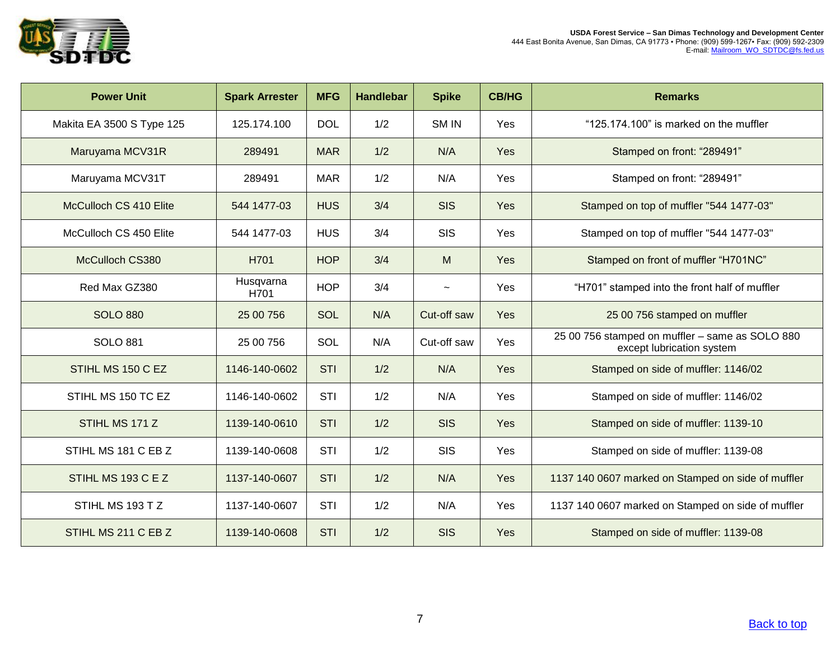

| <b>Power Unit</b>         | <b>Spark Arrester</b> | <b>MFG</b> | <b>Handlebar</b> | <b>Spike</b> | <b>CB/HG</b> | <b>Remarks</b>                                                               |
|---------------------------|-----------------------|------------|------------------|--------------|--------------|------------------------------------------------------------------------------|
| Makita EA 3500 S Type 125 | 125.174.100           | <b>DOL</b> | 1/2              | SM IN        | Yes          | "125.174.100" is marked on the muffler                                       |
| Maruyama MCV31R           | 289491                | <b>MAR</b> | 1/2              | N/A          | Yes          | Stamped on front: "289491"                                                   |
| Maruyama MCV31T           | 289491                | <b>MAR</b> | 1/2              | N/A          | Yes          | Stamped on front: "289491"                                                   |
| McCulloch CS 410 Elite    | 544 1477-03           | <b>HUS</b> | 3/4              | <b>SIS</b>   | Yes          | Stamped on top of muffler "544 1477-03"                                      |
| McCulloch CS 450 Elite    | 544 1477-03           | <b>HUS</b> | 3/4              | <b>SIS</b>   | Yes          | Stamped on top of muffler "544 1477-03"                                      |
| McCulloch CS380           | H701                  | <b>HOP</b> | 3/4              | M            | Yes          | Stamped on front of muffler "H701NC"                                         |
| Red Max GZ380             | Husqvarna<br>H701     | <b>HOP</b> | 3/4              | $\sim$       | Yes          | "H701" stamped into the front half of muffler                                |
| <b>SOLO 880</b>           | 25 00 756             | SOL        | N/A              | Cut-off saw  | Yes          | 25 00 756 stamped on muffler                                                 |
| <b>SOLO 881</b>           | 25 00 756             | SOL        | N/A              | Cut-off saw  | Yes          | 25 00 756 stamped on muffler - same as SOLO 880<br>except lubrication system |
| STIHL MS 150 C EZ         | 1146-140-0602         | <b>STI</b> | 1/2              | N/A          | Yes          | Stamped on side of muffler: 1146/02                                          |
| STIHL MS 150 TC EZ        | 1146-140-0602         | <b>STI</b> | 1/2              | N/A          | Yes          | Stamped on side of muffler: 1146/02                                          |
| STIHL MS 171 Z            | 1139-140-0610         | <b>STI</b> | 1/2              | <b>SIS</b>   | Yes          | Stamped on side of muffler: 1139-10                                          |
| STIHL MS 181 C EB Z       | 1139-140-0608         | <b>STI</b> | 1/2              | <b>SIS</b>   | Yes          | Stamped on side of muffler: 1139-08                                          |
| STIHL MS 193 C E Z        | 1137-140-0607         | <b>STI</b> | 1/2              | N/A          | Yes          | 1137 140 0607 marked on Stamped on side of muffler                           |
| STIHL MS 193 TZ           | 1137-140-0607         | <b>STI</b> | 1/2              | N/A          | Yes          | 1137 140 0607 marked on Stamped on side of muffler                           |
| STIHL MS 211 C EB Z       | 1139-140-0608         | <b>STI</b> | 1/2              | <b>SIS</b>   | Yes          | Stamped on side of muffler: 1139-08                                          |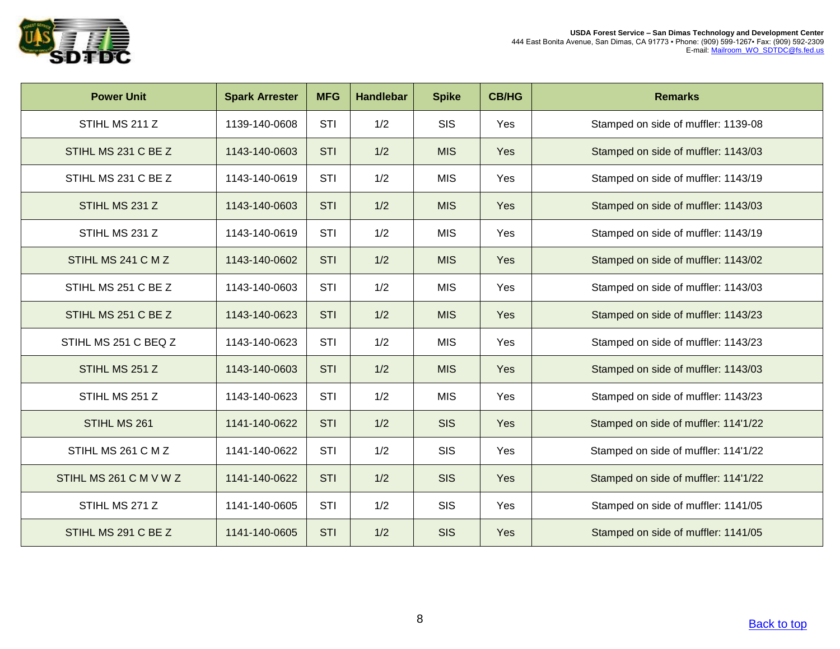

| <b>Power Unit</b>      | <b>Spark Arrester</b> | <b>MFG</b> | <b>Handlebar</b> | <b>Spike</b> | <b>CB/HG</b> | <b>Remarks</b>                       |
|------------------------|-----------------------|------------|------------------|--------------|--------------|--------------------------------------|
| STIHL MS 211 Z         | 1139-140-0608         | STI        | 1/2              | <b>SIS</b>   | Yes          | Stamped on side of muffler: 1139-08  |
| STIHL MS 231 C BE Z    | 1143-140-0603         | <b>STI</b> | 1/2              | <b>MIS</b>   | Yes          | Stamped on side of muffler: 1143/03  |
| STIHL MS 231 C BE Z    | 1143-140-0619         | STI        | 1/2              | <b>MIS</b>   | Yes          | Stamped on side of muffler: 1143/19  |
| STIHL MS 231 Z         | 1143-140-0603         | <b>STI</b> | 1/2              | <b>MIS</b>   | Yes          | Stamped on side of muffler: 1143/03  |
| STIHL MS 231 Z         | 1143-140-0619         | STI        | 1/2              | <b>MIS</b>   | Yes          | Stamped on side of muffler: 1143/19  |
| STIHL MS 241 C M Z     | 1143-140-0602         | <b>STI</b> | 1/2              | <b>MIS</b>   | Yes          | Stamped on side of muffler: 1143/02  |
| STIHL MS 251 C BE Z    | 1143-140-0603         | <b>STI</b> | 1/2              | <b>MIS</b>   | Yes          | Stamped on side of muffler: 1143/03  |
| STIHL MS 251 C BE Z    | 1143-140-0623         | <b>STI</b> | 1/2              | <b>MIS</b>   | Yes          | Stamped on side of muffler: 1143/23  |
| STIHL MS 251 C BEQ Z   | 1143-140-0623         | STI        | 1/2              | <b>MIS</b>   | Yes          | Stamped on side of muffler: 1143/23  |
| STIHL MS 251 Z         | 1143-140-0603         | <b>STI</b> | 1/2              | <b>MIS</b>   | Yes          | Stamped on side of muffler: 1143/03  |
| STIHL MS 251 Z         | 1143-140-0623         | STI        | 1/2              | <b>MIS</b>   | Yes          | Stamped on side of muffler: 1143/23  |
| STIHL MS 261           | 1141-140-0622         | <b>STI</b> | 1/2              | <b>SIS</b>   | Yes          | Stamped on side of muffler: 114'1/22 |
| STIHL MS 261 C M Z     | 1141-140-0622         | <b>STI</b> | 1/2              | <b>SIS</b>   | Yes          | Stamped on side of muffler: 114'1/22 |
| STIHL MS 261 C M V W Z | 1141-140-0622         | <b>STI</b> | 1/2              | <b>SIS</b>   | Yes          | Stamped on side of muffler: 114'1/22 |
| STIHL MS 271 Z         | 1141-140-0605         | <b>STI</b> | 1/2              | <b>SIS</b>   | Yes          | Stamped on side of muffler: 1141/05  |
| STIHL MS 291 C BE Z    | 1141-140-0605         | <b>STI</b> | 1/2              | <b>SIS</b>   | Yes          | Stamped on side of muffler: 1141/05  |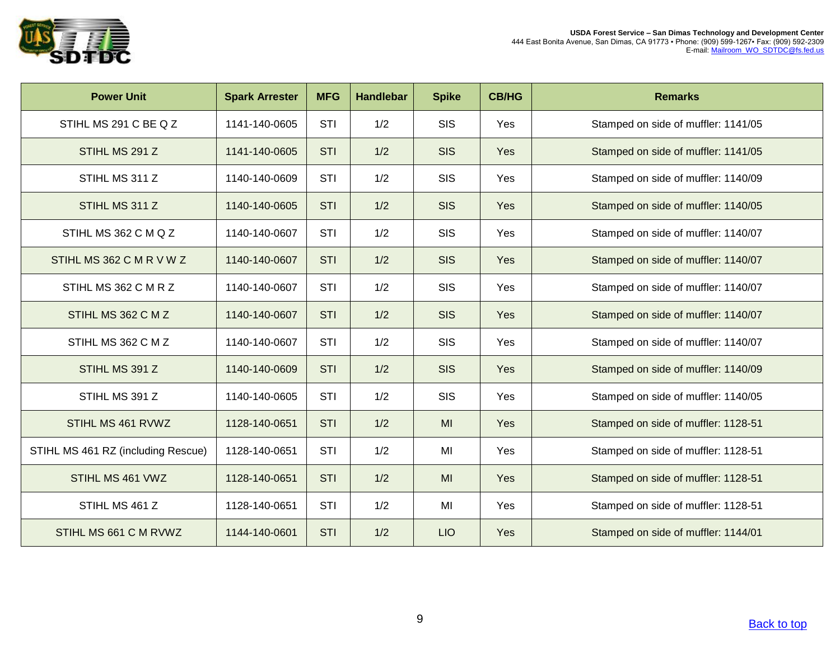

| <b>Power Unit</b>                  | <b>Spark Arrester</b> | <b>MFG</b> | <b>Handlebar</b> | <b>Spike</b> | <b>CB/HG</b> | <b>Remarks</b>                      |
|------------------------------------|-----------------------|------------|------------------|--------------|--------------|-------------------------------------|
| STIHL MS 291 C BE Q Z              | 1141-140-0605         | <b>STI</b> | 1/2              | <b>SIS</b>   | Yes          | Stamped on side of muffler: 1141/05 |
| STIHL MS 291 Z                     | 1141-140-0605         | <b>STI</b> | 1/2              | <b>SIS</b>   | Yes          | Stamped on side of muffler: 1141/05 |
| STIHL MS 311 Z                     | 1140-140-0609         | <b>STI</b> | 1/2              | <b>SIS</b>   | Yes          | Stamped on side of muffler: 1140/09 |
| STIHL MS 311 Z                     | 1140-140-0605         | <b>STI</b> | 1/2              | <b>SIS</b>   | Yes          | Stamped on side of muffler: 1140/05 |
| STIHL MS 362 C M Q Z               | 1140-140-0607         | <b>STI</b> | 1/2              | <b>SIS</b>   | Yes          | Stamped on side of muffler: 1140/07 |
| STIHL MS 362 C M R V W Z           | 1140-140-0607         | <b>STI</b> | 1/2              | <b>SIS</b>   | Yes          | Stamped on side of muffler: 1140/07 |
| STIHL MS 362 C M R Z               | 1140-140-0607         | <b>STI</b> | 1/2              | <b>SIS</b>   | Yes          | Stamped on side of muffler: 1140/07 |
| STIHL MS 362 C M Z                 | 1140-140-0607         | <b>STI</b> | 1/2              | <b>SIS</b>   | Yes          | Stamped on side of muffler: 1140/07 |
| STIHL MS 362 C M Z                 | 1140-140-0607         | <b>STI</b> | 1/2              | <b>SIS</b>   | Yes          | Stamped on side of muffler: 1140/07 |
| STIHL MS 391 Z                     | 1140-140-0609         | <b>STI</b> | 1/2              | <b>SIS</b>   | Yes          | Stamped on side of muffler: 1140/09 |
| STIHL MS 391 Z                     | 1140-140-0605         | <b>STI</b> | 1/2              | <b>SIS</b>   | Yes          | Stamped on side of muffler: 1140/05 |
| STIHL MS 461 RVWZ                  | 1128-140-0651         | <b>STI</b> | 1/2              | MI           | Yes          | Stamped on side of muffler: 1128-51 |
| STIHL MS 461 RZ (including Rescue) | 1128-140-0651         | <b>STI</b> | 1/2              | MI           | Yes          | Stamped on side of muffler: 1128-51 |
| STIHL MS 461 VWZ                   | 1128-140-0651         | <b>STI</b> | 1/2              | MI           | Yes          | Stamped on side of muffler: 1128-51 |
| STIHL MS 461 Z                     | 1128-140-0651         | STI        | 1/2              | MI           | Yes          | Stamped on side of muffler: 1128-51 |
| STIHL MS 661 C M RVWZ              | 1144-140-0601         | <b>STI</b> | 1/2              | <b>LIO</b>   | Yes          | Stamped on side of muffler: 1144/01 |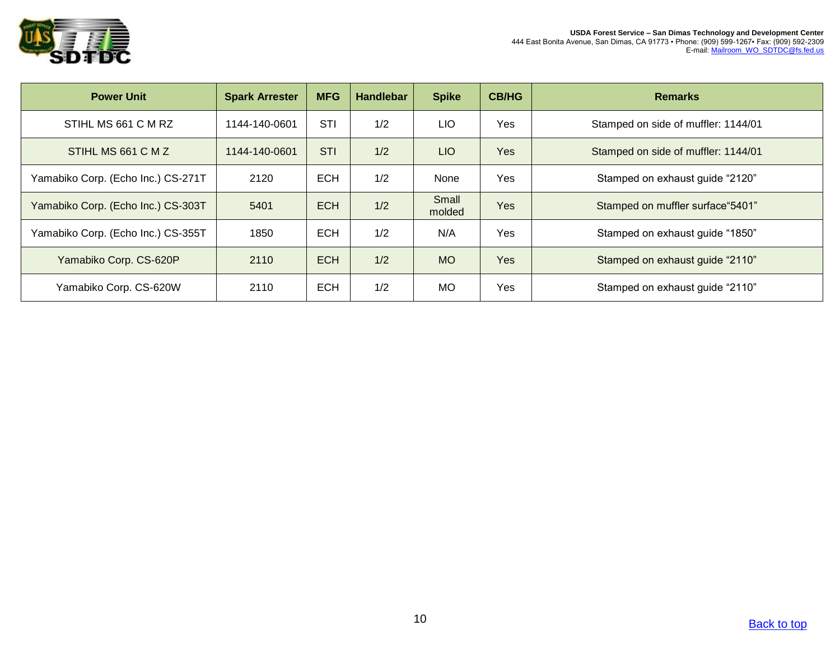

| <b>Power Unit</b>                  | <b>Spark Arrester</b> | <b>MFG</b> | <b>Handlebar</b> | <b>Spike</b>    | <b>CB/HG</b> | <b>Remarks</b>                      |
|------------------------------------|-----------------------|------------|------------------|-----------------|--------------|-------------------------------------|
| STIHL MS 661 C M RZ                | 1144-140-0601         | <b>STI</b> | 1/2              | LIO             | Yes          | Stamped on side of muffler: 1144/01 |
| STIHL MS 661 C M Z                 | 1144-140-0601         | <b>STI</b> | 1/2              | LIO <sub></sub> | <b>Yes</b>   | Stamped on side of muffler: 1144/01 |
| Yamabiko Corp. (Echo Inc.) CS-271T | 2120                  | <b>ECH</b> | 1/2              | None            | Yes          | Stamped on exhaust guide "2120"     |
| Yamabiko Corp. (Echo Inc.) CS-303T | 5401                  | <b>ECH</b> | 1/2              | Small<br>molded | Yes          | Stamped on muffler surface "5401"   |
| Yamabiko Corp. (Echo Inc.) CS-355T | 1850                  | <b>ECH</b> | 1/2              | N/A             | <b>Yes</b>   | Stamped on exhaust guide "1850"     |
| Yamabiko Corp. CS-620P             | 2110                  | <b>ECH</b> | 1/2              | <b>MO</b>       | Yes          | Stamped on exhaust guide "2110"     |
| Yamabiko Corp. CS-620W             | 2110                  | <b>ECH</b> | 1/2              | <b>MO</b>       | Yes          | Stamped on exhaust guide "2110"     |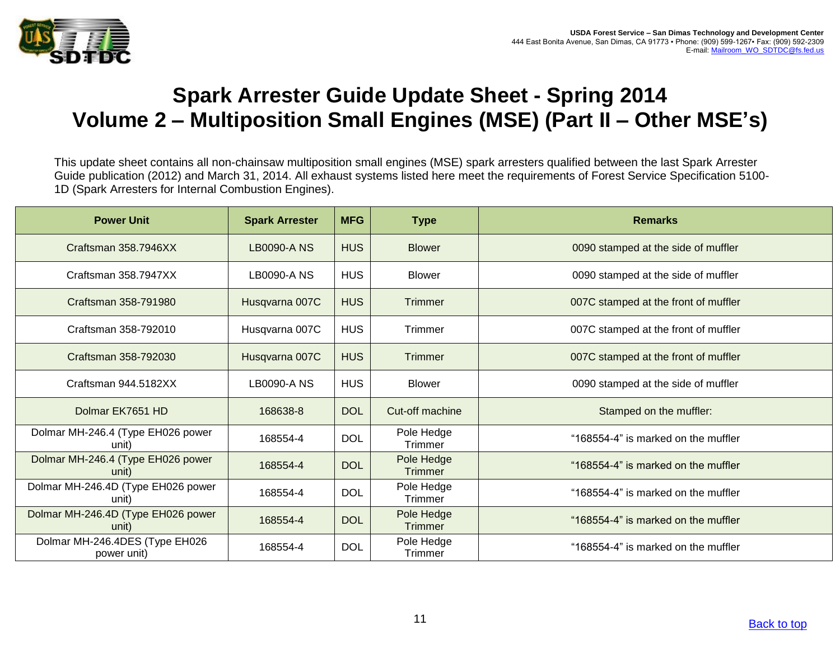

## **Spark Arrester Guide Update Sheet - Spring 2014 Volume 2 – Multiposition Small Engines (MSE) (Part II – Other MSE's)**

This update sheet contains all non-chainsaw multiposition small engines (MSE) spark arresters qualified between the last Spark Arrester Guide publication (2012) and March 31, 2014. All exhaust systems listed here meet the requirements of Forest Service Specification 5100- 1D (Spark Arresters for Internal Combustion Engines).

| <b>Power Unit</b>                             | <b>Spark Arrester</b> | <b>MFG</b> | <b>Type</b>                  | <b>Remarks</b>                       |
|-----------------------------------------------|-----------------------|------------|------------------------------|--------------------------------------|
| Craftsman 358.7946XX                          | <b>LB0090-ANS</b>     | <b>HUS</b> | <b>Blower</b>                | 0090 stamped at the side of muffler  |
| Craftsman 358.7947XX                          | <b>LB0090-A NS</b>    | <b>HUS</b> | <b>Blower</b>                | 0090 stamped at the side of muffler  |
| Craftsman 358-791980                          | Husqvarna 007C        | <b>HUS</b> | Trimmer                      | 007C stamped at the front of muffler |
| Craftsman 358-792010                          | Husqvarna 007C        | <b>HUS</b> | Trimmer                      | 007C stamped at the front of muffler |
| Craftsman 358-792030                          | Husqvarna 007C        | <b>HUS</b> | <b>Trimmer</b>               | 007C stamped at the front of muffler |
| Craftsman 944.5182XX                          | LB0090-A NS           | <b>HUS</b> | <b>Blower</b>                | 0090 stamped at the side of muffler  |
| Dolmar EK7651 HD                              | 168638-8              | <b>DOL</b> | Cut-off machine              | Stamped on the muffler:              |
| Dolmar MH-246.4 (Type EH026 power<br>unit)    | 168554-4              | <b>DOL</b> | Pole Hedge<br>Trimmer        | "168554-4" is marked on the muffler  |
| Dolmar MH-246.4 (Type EH026 power<br>unit)    | 168554-4              | <b>DOL</b> | Pole Hedge<br><b>Trimmer</b> | "168554-4" is marked on the muffler  |
| Dolmar MH-246.4D (Type EH026 power<br>unit)   | 168554-4              | <b>DOL</b> | Pole Hedge<br>Trimmer        | "168554-4" is marked on the muffler  |
| Dolmar MH-246.4D (Type EH026 power<br>unit)   | 168554-4              | <b>DOL</b> | Pole Hedge<br><b>Trimmer</b> | "168554-4" is marked on the muffler  |
| Dolmar MH-246.4DES (Type EH026<br>power unit) | 168554-4              | <b>DOL</b> | Pole Hedge<br>Trimmer        | "168554-4" is marked on the muffler  |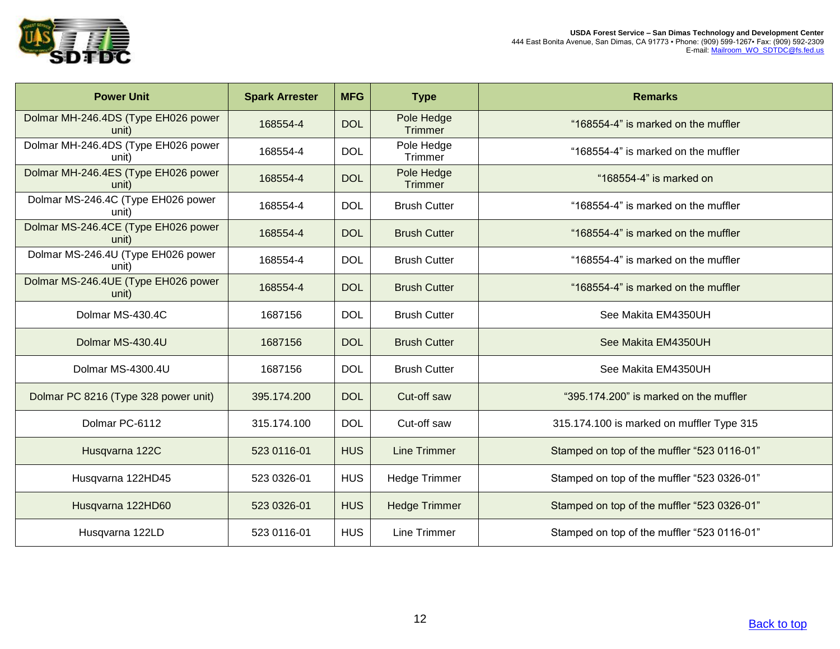

| <b>Power Unit</b>                            | <b>Spark Arrester</b> | <b>MFG</b> | <b>Type</b>                  | <b>Remarks</b>                              |
|----------------------------------------------|-----------------------|------------|------------------------------|---------------------------------------------|
| Dolmar MH-246.4DS (Type EH026 power<br>unit) | 168554-4              | <b>DOL</b> | Pole Hedge<br>Trimmer        | "168554-4" is marked on the muffler         |
| Dolmar MH-246.4DS (Type EH026 power<br>unit) | 168554-4              | <b>DOL</b> | Pole Hedge<br>Trimmer        | "168554-4" is marked on the muffler         |
| Dolmar MH-246.4ES (Type EH026 power<br>unit) | 168554-4              | <b>DOL</b> | Pole Hedge<br><b>Trimmer</b> | "168554-4" is marked on                     |
| Dolmar MS-246.4C (Type EH026 power<br>unit)  | 168554-4              | <b>DOL</b> | <b>Brush Cutter</b>          | "168554-4" is marked on the muffler         |
| Dolmar MS-246.4CE (Type EH026 power<br>unit) | 168554-4              | <b>DOL</b> | <b>Brush Cutter</b>          | "168554-4" is marked on the muffler         |
| Dolmar MS-246.4U (Type EH026 power<br>unit)  | 168554-4              | <b>DOL</b> | <b>Brush Cutter</b>          | "168554-4" is marked on the muffler         |
| Dolmar MS-246.4UE (Type EH026 power<br>unit) | 168554-4              | <b>DOL</b> | <b>Brush Cutter</b>          | "168554-4" is marked on the muffler         |
| Dolmar MS-430.4C                             | 1687156               | <b>DOL</b> | <b>Brush Cutter</b>          | See Makita EM4350UH                         |
| Dolmar MS-430.4U                             | 1687156               | <b>DOL</b> | <b>Brush Cutter</b>          | See Makita EM4350UH                         |
| Dolmar MS-4300.4U                            | 1687156               | <b>DOL</b> | <b>Brush Cutter</b>          | See Makita EM4350UH                         |
| Dolmar PC 8216 (Type 328 power unit)         | 395.174.200           | <b>DOL</b> | Cut-off saw                  | "395.174.200" is marked on the muffler      |
| Dolmar PC-6112                               | 315.174.100           | <b>DOL</b> | Cut-off saw                  | 315.174.100 is marked on muffler Type 315   |
| Husqvarna 122C                               | 523 0116-01           | <b>HUS</b> | <b>Line Trimmer</b>          | Stamped on top of the muffler "523 0116-01" |
| Husqvarna 122HD45                            | 523 0326-01           | <b>HUS</b> | <b>Hedge Trimmer</b>         | Stamped on top of the muffler "523 0326-01" |
| Husqvarna 122HD60                            | 523 0326-01           | <b>HUS</b> | <b>Hedge Trimmer</b>         | Stamped on top of the muffler "523 0326-01" |
| Husqvarna 122LD                              | 523 0116-01           | <b>HUS</b> | Line Trimmer                 | Stamped on top of the muffler "523 0116-01" |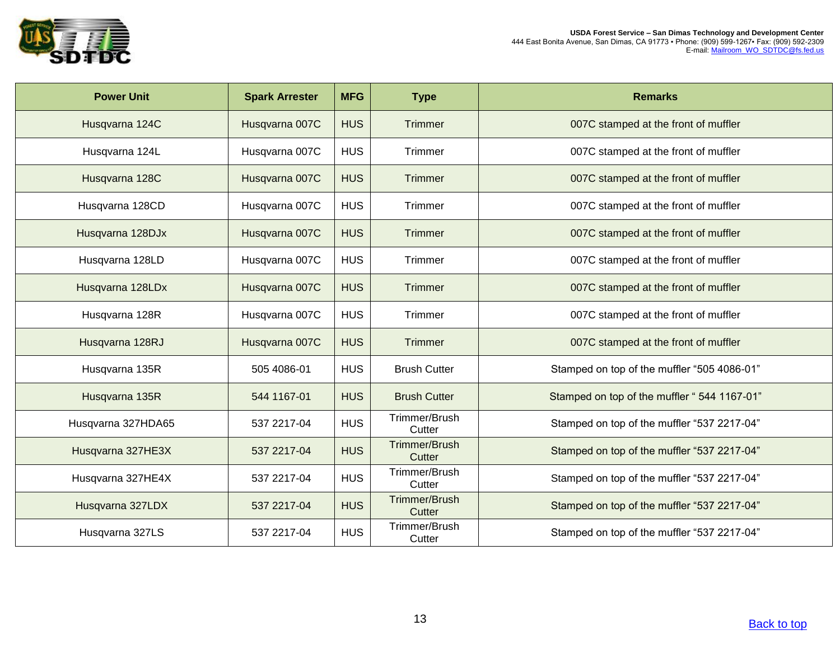

| <b>Power Unit</b>  | <b>Spark Arrester</b> | <b>MFG</b> | <b>Type</b>             | <b>Remarks</b>                              |
|--------------------|-----------------------|------------|-------------------------|---------------------------------------------|
| Husqvarna 124C     | Husqvarna 007C        | <b>HUS</b> | <b>Trimmer</b>          | 007C stamped at the front of muffler        |
| Husqvarna 124L     | Husqvarna 007C        | <b>HUS</b> | Trimmer                 | 007C stamped at the front of muffler        |
| Husqvarna 128C     | Husqvarna 007C        | <b>HUS</b> | Trimmer                 | 007C stamped at the front of muffler        |
| Husqvarna 128CD    | Husqvarna 007C        | <b>HUS</b> | Trimmer                 | 007C stamped at the front of muffler        |
| Husqvarna 128DJx   | Husqvarna 007C        | <b>HUS</b> | <b>Trimmer</b>          | 007C stamped at the front of muffler        |
| Husqvarna 128LD    | Husqvarna 007C        | <b>HUS</b> | Trimmer                 | 007C stamped at the front of muffler        |
| Husqvarna 128LDx   | Husqvarna 007C        | <b>HUS</b> | Trimmer                 | 007C stamped at the front of muffler        |
| Husqvarna 128R     | Husqvarna 007C        | <b>HUS</b> | Trimmer                 | 007C stamped at the front of muffler        |
| Husqvarna 128RJ    | Husqvarna 007C        | <b>HUS</b> | Trimmer                 | 007C stamped at the front of muffler        |
| Husqvarna 135R     | 505 4086-01           | <b>HUS</b> | <b>Brush Cutter</b>     | Stamped on top of the muffler "505 4086-01" |
| Husqvarna 135R     | 544 1167-01           | <b>HUS</b> | <b>Brush Cutter</b>     | Stamped on top of the muffler "544 1167-01" |
| Husqvarna 327HDA65 | 537 2217-04           | <b>HUS</b> | Trimmer/Brush<br>Cutter | Stamped on top of the muffler "537 2217-04" |
| Husqvarna 327HE3X  | 537 2217-04           | <b>HUS</b> | Trimmer/Brush<br>Cutter | Stamped on top of the muffler "537 2217-04" |
| Husqvarna 327HE4X  | 537 2217-04           | <b>HUS</b> | Trimmer/Brush<br>Cutter | Stamped on top of the muffler "537 2217-04" |
| Husqvarna 327LDX   | 537 2217-04           | <b>HUS</b> | Trimmer/Brush<br>Cutter | Stamped on top of the muffler "537 2217-04" |
| Husqvarna 327LS    | 537 2217-04           | <b>HUS</b> | Trimmer/Brush<br>Cutter | Stamped on top of the muffler "537 2217-04" |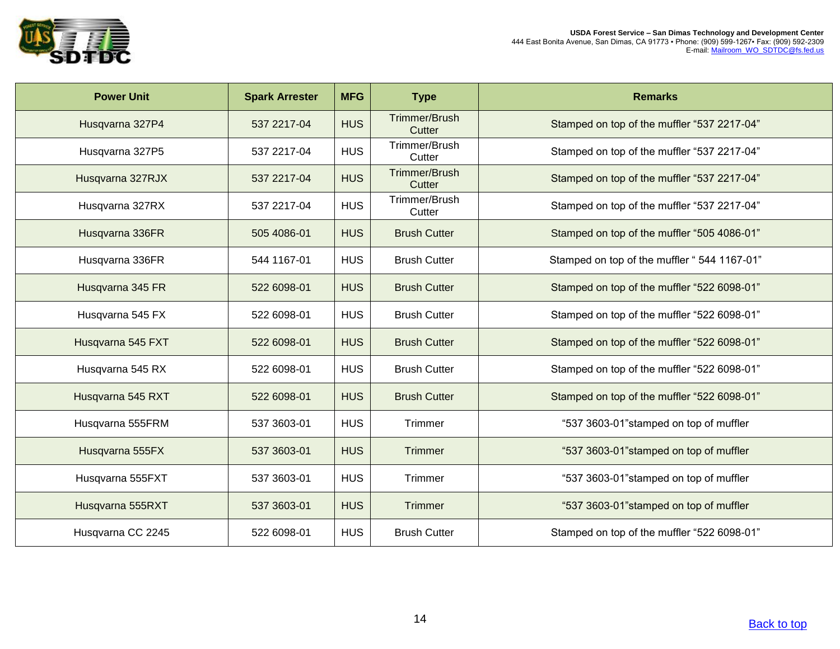

| <b>Power Unit</b> | <b>Spark Arrester</b> | <b>MFG</b> | <b>Type</b>                    | <b>Remarks</b>                              |
|-------------------|-----------------------|------------|--------------------------------|---------------------------------------------|
| Husqvarna 327P4   | 537 2217-04           | <b>HUS</b> | <b>Trimmer/Brush</b><br>Cutter | Stamped on top of the muffler "537 2217-04" |
| Husqvarna 327P5   | 537 2217-04           | <b>HUS</b> | Trimmer/Brush<br>Cutter        | Stamped on top of the muffler "537 2217-04" |
| Husqvarna 327RJX  | 537 2217-04           | <b>HUS</b> | Trimmer/Brush<br>Cutter        | Stamped on top of the muffler "537 2217-04" |
| Husqvarna 327RX   | 537 2217-04           | <b>HUS</b> | Trimmer/Brush<br>Cutter        | Stamped on top of the muffler "537 2217-04" |
| Husqvarna 336FR   | 505 4086-01           | <b>HUS</b> | <b>Brush Cutter</b>            | Stamped on top of the muffler "505 4086-01" |
| Husqvarna 336FR   | 544 1167-01           | <b>HUS</b> | <b>Brush Cutter</b>            | Stamped on top of the muffler "544 1167-01" |
| Husqvarna 345 FR  | 522 6098-01           | <b>HUS</b> | <b>Brush Cutter</b>            | Stamped on top of the muffler "522 6098-01" |
| Husqvarna 545 FX  | 522 6098-01           | <b>HUS</b> | <b>Brush Cutter</b>            | Stamped on top of the muffler "522 6098-01" |
| Husqvarna 545 FXT | 522 6098-01           | <b>HUS</b> | <b>Brush Cutter</b>            | Stamped on top of the muffler "522 6098-01" |
| Husqvarna 545 RX  | 522 6098-01           | <b>HUS</b> | <b>Brush Cutter</b>            | Stamped on top of the muffler "522 6098-01" |
| Husqvarna 545 RXT | 522 6098-01           | <b>HUS</b> | <b>Brush Cutter</b>            | Stamped on top of the muffler "522 6098-01" |
| Husqvarna 555FRM  | 537 3603-01           | <b>HUS</b> | Trimmer                        | "537 3603-01" stamped on top of muffler     |
| Husqvarna 555FX   | 537 3603-01           | <b>HUS</b> | Trimmer                        | "537 3603-01" stamped on top of muffler     |
| Husqvarna 555FXT  | 537 3603-01           | <b>HUS</b> | Trimmer                        | "537 3603-01" stamped on top of muffler     |
| Husqvarna 555RXT  | 537 3603-01           | <b>HUS</b> | Trimmer                        | "537 3603-01" stamped on top of muffler     |
| Husqvarna CC 2245 | 522 6098-01           | <b>HUS</b> | <b>Brush Cutter</b>            | Stamped on top of the muffler "522 6098-01" |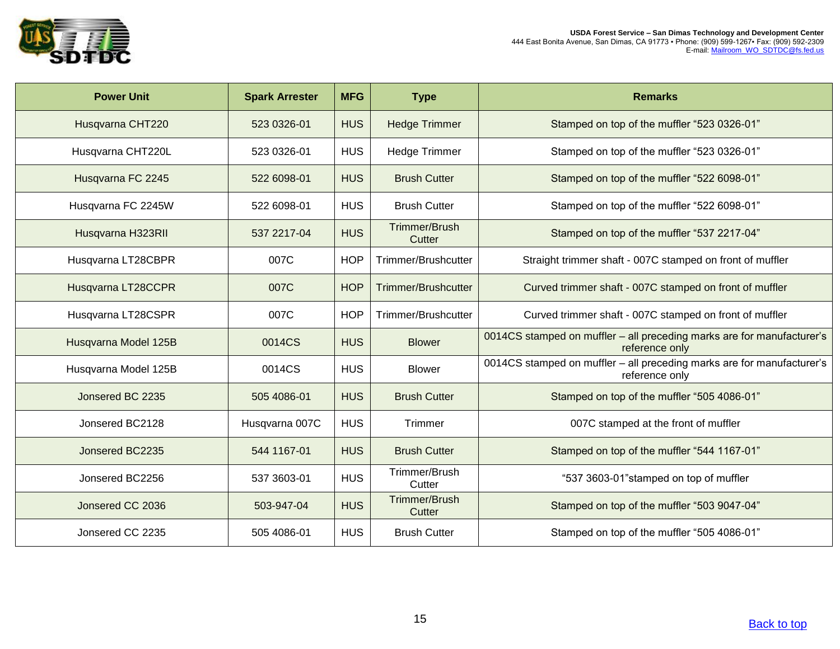

| <b>Power Unit</b>    | <b>Spark Arrester</b> | <b>MFG</b> | <b>Type</b>                | <b>Remarks</b>                                                                           |
|----------------------|-----------------------|------------|----------------------------|------------------------------------------------------------------------------------------|
| Husqvarna CHT220     | 523 0326-01           | <b>HUS</b> | <b>Hedge Trimmer</b>       | Stamped on top of the muffler "523 0326-01"                                              |
| Husqvarna CHT220L    | 523 0326-01           | <b>HUS</b> | <b>Hedge Trimmer</b>       | Stamped on top of the muffler "523 0326-01"                                              |
| Husqvarna FC 2245    | 522 6098-01           | <b>HUS</b> | <b>Brush Cutter</b>        | Stamped on top of the muffler "522 6098-01"                                              |
| Husqvarna FC 2245W   | 522 6098-01           | <b>HUS</b> | <b>Brush Cutter</b>        | Stamped on top of the muffler "522 6098-01"                                              |
| Husqvarna H323RII    | 537 2217-04           | <b>HUS</b> | Trimmer/Brush<br>Cutter    | Stamped on top of the muffler "537 2217-04"                                              |
| Husqvarna LT28CBPR   | 007C                  | <b>HOP</b> | Trimmer/Brushcutter        | Straight trimmer shaft - 007C stamped on front of muffler                                |
| Husqvarna LT28CCPR   | 007C                  | <b>HOP</b> | <b>Trimmer/Brushcutter</b> | Curved trimmer shaft - 007C stamped on front of muffler                                  |
| Husqvarna LT28CSPR   | 007C                  | <b>HOP</b> | Trimmer/Brushcutter        | Curved trimmer shaft - 007C stamped on front of muffler                                  |
| Husqvarna Model 125B | 0014CS                | <b>HUS</b> | <b>Blower</b>              | 0014CS stamped on muffler - all preceding marks are for manufacturer's<br>reference only |
| Husqvarna Model 125B | 0014CS                | <b>HUS</b> | <b>Blower</b>              | 0014CS stamped on muffler - all preceding marks are for manufacturer's<br>reference only |
| Jonsered BC 2235     | 505 4086-01           | <b>HUS</b> | <b>Brush Cutter</b>        | Stamped on top of the muffler "505 4086-01"                                              |
| Jonsered BC2128      | Husqvarna 007C        | <b>HUS</b> | Trimmer                    | 007C stamped at the front of muffler                                                     |
| Jonsered BC2235      | 544 1167-01           | <b>HUS</b> | <b>Brush Cutter</b>        | Stamped on top of the muffler "544 1167-01"                                              |
| Jonsered BC2256      | 537 3603-01           | <b>HUS</b> | Trimmer/Brush<br>Cutter    | "537 3603-01"stamped on top of muffler                                                   |
| Jonsered CC 2036     | 503-947-04            | <b>HUS</b> | Trimmer/Brush<br>Cutter    | Stamped on top of the muffler "503 9047-04"                                              |
| Jonsered CC 2235     | 505 4086-01           | <b>HUS</b> | <b>Brush Cutter</b>        | Stamped on top of the muffler "505 4086-01"                                              |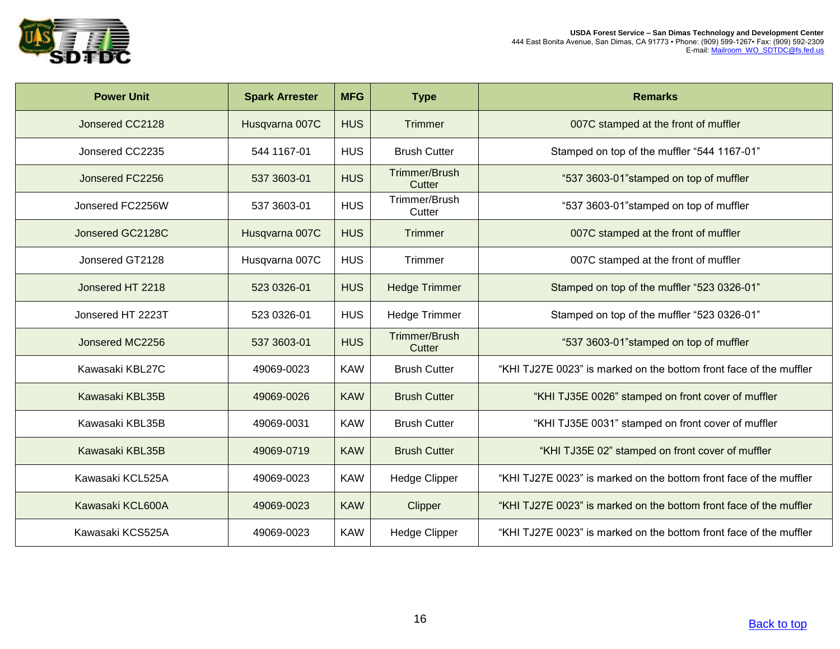

| <b>Power Unit</b> | <b>Spark Arrester</b> | <b>MFG</b> | <b>Type</b>                    | <b>Remarks</b>                                                     |
|-------------------|-----------------------|------------|--------------------------------|--------------------------------------------------------------------|
| Jonsered CC2128   | Husqvarna 007C        | <b>HUS</b> | Trimmer                        | 007C stamped at the front of muffler                               |
| Jonsered CC2235   | 544 1167-01           | <b>HUS</b> | <b>Brush Cutter</b>            | Stamped on top of the muffler "544 1167-01"                        |
| Jonsered FC2256   | 537 3603-01           | <b>HUS</b> | <b>Trimmer/Brush</b><br>Cutter | "537 3603-01" stamped on top of muffler                            |
| Jonsered FC2256W  | 537 3603-01           | <b>HUS</b> | Trimmer/Brush<br>Cutter        | "537 3603-01"stamped on top of muffler                             |
| Jonsered GC2128C  | Husqvarna 007C        | <b>HUS</b> | <b>Trimmer</b>                 | 007C stamped at the front of muffler                               |
| Jonsered GT2128   | Husqvarna 007C        | <b>HUS</b> | Trimmer                        | 007C stamped at the front of muffler                               |
| Jonsered HT 2218  | 523 0326-01           | <b>HUS</b> | <b>Hedge Trimmer</b>           | Stamped on top of the muffler "523 0326-01"                        |
| Jonsered HT 2223T | 523 0326-01           | <b>HUS</b> | <b>Hedge Trimmer</b>           | Stamped on top of the muffler "523 0326-01"                        |
| Jonsered MC2256   | 537 3603-01           | <b>HUS</b> | <b>Trimmer/Brush</b><br>Cutter | "537 3603-01"stamped on top of muffler                             |
| Kawasaki KBL27C   | 49069-0023            | <b>KAW</b> | <b>Brush Cutter</b>            | "KHI TJ27E 0023" is marked on the bottom front face of the muffler |
| Kawasaki KBL35B   | 49069-0026            | <b>KAW</b> | <b>Brush Cutter</b>            | "KHI TJ35E 0026" stamped on front cover of muffler                 |
| Kawasaki KBL35B   | 49069-0031            | <b>KAW</b> | <b>Brush Cutter</b>            | "KHI TJ35E 0031" stamped on front cover of muffler                 |
| Kawasaki KBL35B   | 49069-0719            | <b>KAW</b> | <b>Brush Cutter</b>            | "KHI TJ35E 02" stamped on front cover of muffler                   |
| Kawasaki KCL525A  | 49069-0023            | <b>KAW</b> | <b>Hedge Clipper</b>           | "KHI TJ27E 0023" is marked on the bottom front face of the muffler |
| Kawasaki KCL600A  | 49069-0023            | <b>KAW</b> | Clipper                        | "KHI TJ27E 0023" is marked on the bottom front face of the muffler |
| Kawasaki KCS525A  | 49069-0023            | <b>KAW</b> | <b>Hedge Clipper</b>           | "KHI TJ27E 0023" is marked on the bottom front face of the muffler |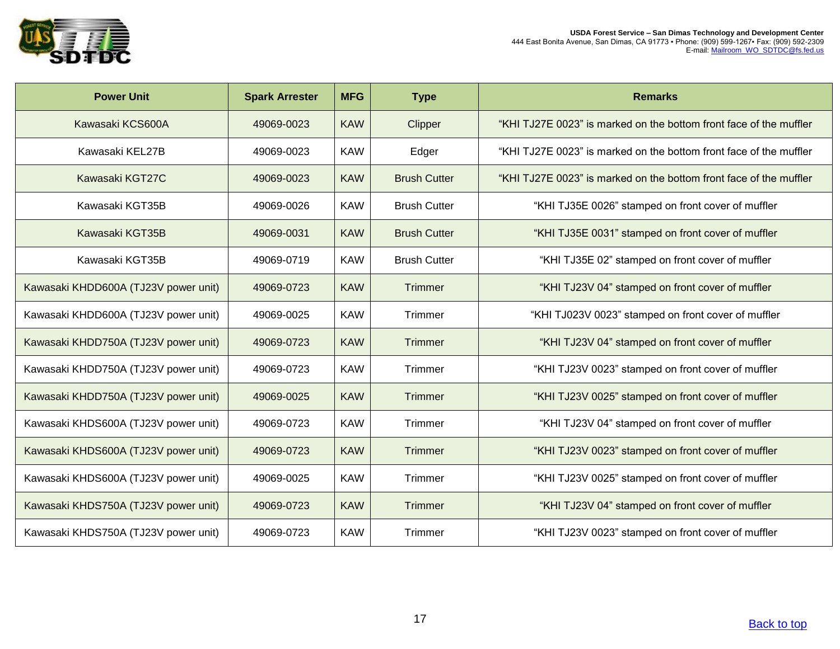

| <b>Power Unit</b>                    | <b>Spark Arrester</b> | <b>MFG</b> | <b>Type</b>         | <b>Remarks</b>                                                     |
|--------------------------------------|-----------------------|------------|---------------------|--------------------------------------------------------------------|
| Kawasaki KCS600A                     | 49069-0023            | <b>KAW</b> | Clipper             | "KHI TJ27E 0023" is marked on the bottom front face of the muffler |
| Kawasaki KEL27B                      | 49069-0023            | <b>KAW</b> | Edger               | "KHI TJ27E 0023" is marked on the bottom front face of the muffler |
| Kawasaki KGT27C                      | 49069-0023            | <b>KAW</b> | <b>Brush Cutter</b> | "KHI TJ27E 0023" is marked on the bottom front face of the muffler |
| Kawasaki KGT35B                      | 49069-0026            | <b>KAW</b> | <b>Brush Cutter</b> | "KHI TJ35E 0026" stamped on front cover of muffler                 |
| Kawasaki KGT35B                      | 49069-0031            | <b>KAW</b> | <b>Brush Cutter</b> | "KHI TJ35E 0031" stamped on front cover of muffler                 |
| Kawasaki KGT35B                      | 49069-0719            | <b>KAW</b> | <b>Brush Cutter</b> | "KHI TJ35E 02" stamped on front cover of muffler                   |
| Kawasaki KHDD600A (TJ23V power unit) | 49069-0723            | <b>KAW</b> | <b>Trimmer</b>      | "KHI TJ23V 04" stamped on front cover of muffler                   |
| Kawasaki KHDD600A (TJ23V power unit) | 49069-0025            | <b>KAW</b> | Trimmer             | "KHI TJ023V 0023" stamped on front cover of muffler                |
| Kawasaki KHDD750A (TJ23V power unit) | 49069-0723            | <b>KAW</b> | <b>Trimmer</b>      | "KHI TJ23V 04" stamped on front cover of muffler                   |
| Kawasaki KHDD750A (TJ23V power unit) | 49069-0723            | <b>KAW</b> | Trimmer             | "KHI TJ23V 0023" stamped on front cover of muffler                 |
| Kawasaki KHDD750A (TJ23V power unit) | 49069-0025            | <b>KAW</b> | <b>Trimmer</b>      | "KHI TJ23V 0025" stamped on front cover of muffler                 |
| Kawasaki KHDS600A (TJ23V power unit) | 49069-0723            | <b>KAW</b> | Trimmer             | "KHI TJ23V 04" stamped on front cover of muffler                   |
| Kawasaki KHDS600A (TJ23V power unit) | 49069-0723            | <b>KAW</b> | <b>Trimmer</b>      | "KHI TJ23V 0023" stamped on front cover of muffler                 |
| Kawasaki KHDS600A (TJ23V power unit) | 49069-0025            | <b>KAW</b> | Trimmer             | "KHI TJ23V 0025" stamped on front cover of muffler                 |
| Kawasaki KHDS750A (TJ23V power unit) | 49069-0723            | <b>KAW</b> | <b>Trimmer</b>      | "KHI TJ23V 04" stamped on front cover of muffler                   |
| Kawasaki KHDS750A (TJ23V power unit) | 49069-0723            | <b>KAW</b> | Trimmer             | "KHI TJ23V 0023" stamped on front cover of muffler                 |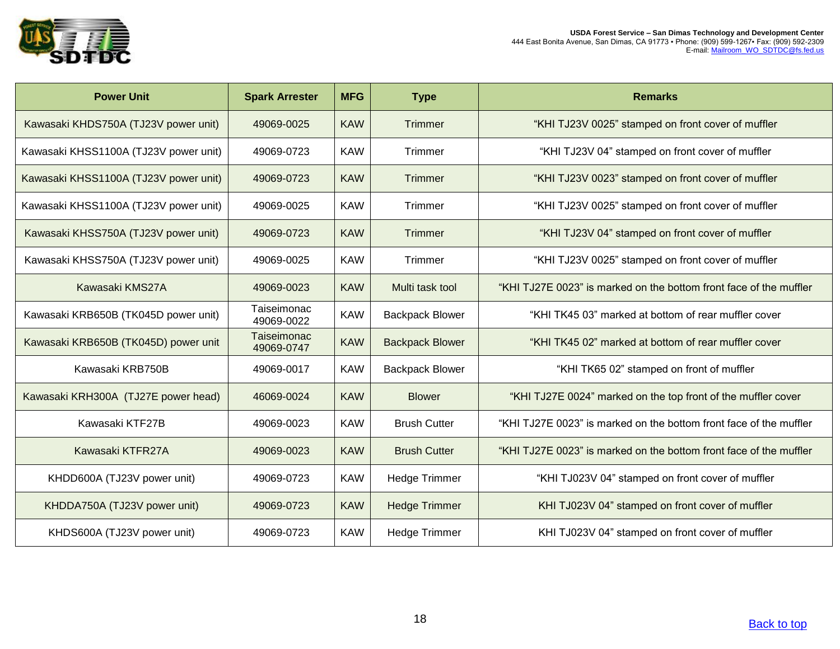

| <b>Power Unit</b>                     | <b>Spark Arrester</b>     | <b>MFG</b> | <b>Type</b>            | <b>Remarks</b>                                                     |
|---------------------------------------|---------------------------|------------|------------------------|--------------------------------------------------------------------|
| Kawasaki KHDS750A (TJ23V power unit)  | 49069-0025                | <b>KAW</b> | Trimmer                | "KHI TJ23V 0025" stamped on front cover of muffler                 |
| Kawasaki KHSS1100A (TJ23V power unit) | 49069-0723                | <b>KAW</b> | Trimmer                | "KHI TJ23V 04" stamped on front cover of muffler                   |
| Kawasaki KHSS1100A (TJ23V power unit) | 49069-0723                | <b>KAW</b> | Trimmer                | "KHI TJ23V 0023" stamped on front cover of muffler                 |
| Kawasaki KHSS1100A (TJ23V power unit) | 49069-0025                | <b>KAW</b> | Trimmer                | "KHI TJ23V 0025" stamped on front cover of muffler                 |
| Kawasaki KHSS750A (TJ23V power unit)  | 49069-0723                | <b>KAW</b> | <b>Trimmer</b>         | "KHI TJ23V 04" stamped on front cover of muffler                   |
| Kawasaki KHSS750A (TJ23V power unit)  | 49069-0025                | <b>KAW</b> | Trimmer                | "KHI TJ23V 0025" stamped on front cover of muffler                 |
| Kawasaki KMS27A                       | 49069-0023                | <b>KAW</b> | Multi task tool        | "KHI TJ27E 0023" is marked on the bottom front face of the muffler |
| Kawasaki KRB650B (TK045D power unit)  | Taiseimonac<br>49069-0022 | <b>KAW</b> | <b>Backpack Blower</b> | "KHI TK45 03" marked at bottom of rear muffler cover               |
| Kawasaki KRB650B (TK045D) power unit  | Taiseimonac<br>49069-0747 | <b>KAW</b> | <b>Backpack Blower</b> | "KHI TK45 02" marked at bottom of rear muffler cover               |
| Kawasaki KRB750B                      | 49069-0017                | <b>KAW</b> | <b>Backpack Blower</b> | "KHI TK65 02" stamped on front of muffler                          |
| Kawasaki KRH300A (TJ27E power head)   | 46069-0024                | <b>KAW</b> | <b>Blower</b>          | "KHI TJ27E 0024" marked on the top front of the muffler cover      |
| Kawasaki KTF27B                       | 49069-0023                | <b>KAW</b> | <b>Brush Cutter</b>    | "KHI TJ27E 0023" is marked on the bottom front face of the muffler |
| Kawasaki KTFR27A                      | 49069-0023                | <b>KAW</b> | <b>Brush Cutter</b>    | "KHI TJ27E 0023" is marked on the bottom front face of the muffler |
| KHDD600A (TJ23V power unit)           | 49069-0723                | <b>KAW</b> | <b>Hedge Trimmer</b>   | "KHI TJ023V 04" stamped on front cover of muffler                  |
| KHDDA750A (TJ23V power unit)          | 49069-0723                | <b>KAW</b> | <b>Hedge Trimmer</b>   | KHI TJ023V 04" stamped on front cover of muffler                   |
| KHDS600A (TJ23V power unit)           | 49069-0723                | <b>KAW</b> | <b>Hedge Trimmer</b>   | KHI TJ023V 04" stamped on front cover of muffler                   |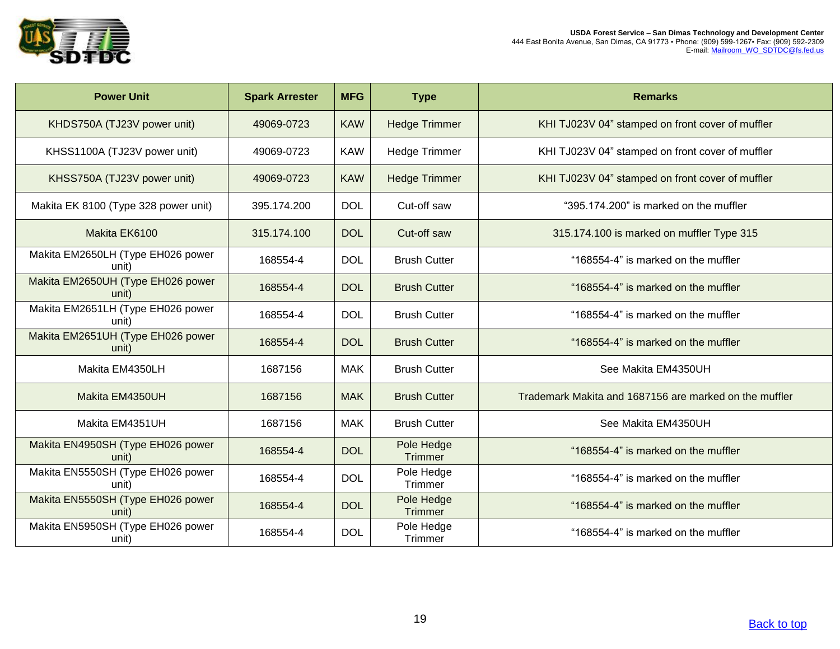

| <b>Power Unit</b>                          | <b>Spark Arrester</b> | <b>MFG</b> | <b>Type</b>                  | <b>Remarks</b>                                         |
|--------------------------------------------|-----------------------|------------|------------------------------|--------------------------------------------------------|
| KHDS750A (TJ23V power unit)                | 49069-0723            | <b>KAW</b> | <b>Hedge Trimmer</b>         | KHI TJ023V 04" stamped on front cover of muffler       |
| KHSS1100A (TJ23V power unit)               | 49069-0723            | <b>KAW</b> | <b>Hedge Trimmer</b>         | KHI TJ023V 04" stamped on front cover of muffler       |
| KHSS750A (TJ23V power unit)                | 49069-0723            | <b>KAW</b> | <b>Hedge Trimmer</b>         | KHI TJ023V 04" stamped on front cover of muffler       |
| Makita EK 8100 (Type 328 power unit)       | 395.174.200           | <b>DOL</b> | Cut-off saw                  | "395.174.200" is marked on the muffler                 |
| Makita EK6100                              | 315.174.100           | <b>DOL</b> | Cut-off saw                  | 315.174.100 is marked on muffler Type 315              |
| Makita EM2650LH (Type EH026 power<br>unit) | 168554-4              | <b>DOL</b> | <b>Brush Cutter</b>          | "168554-4" is marked on the muffler                    |
| Makita EM2650UH (Type EH026 power<br>unit) | 168554-4              | <b>DOL</b> | <b>Brush Cutter</b>          | "168554-4" is marked on the muffler                    |
| Makita EM2651LH (Type EH026 power<br>unit) | 168554-4              | <b>DOL</b> | <b>Brush Cutter</b>          | "168554-4" is marked on the muffler                    |
| Makita EM2651UH (Type EH026 power<br>unit) | 168554-4              | <b>DOL</b> | <b>Brush Cutter</b>          | "168554-4" is marked on the muffler                    |
| Makita EM4350LH                            | 1687156               | <b>MAK</b> | <b>Brush Cutter</b>          | See Makita EM4350UH                                    |
| Makita EM4350UH                            | 1687156               | <b>MAK</b> | <b>Brush Cutter</b>          | Trademark Makita and 1687156 are marked on the muffler |
| Makita EM4351UH                            | 1687156               | <b>MAK</b> | <b>Brush Cutter</b>          | See Makita EM4350UH                                    |
| Makita EN4950SH (Type EH026 power<br>unit) | 168554-4              | <b>DOL</b> | Pole Hedge<br><b>Trimmer</b> | "168554-4" is marked on the muffler                    |
| Makita EN5550SH (Type EH026 power<br>unit) | 168554-4              | <b>DOL</b> | Pole Hedge<br>Trimmer        | "168554-4" is marked on the muffler                    |
| Makita EN5550SH (Type EH026 power<br>unit) | 168554-4              | <b>DOL</b> | Pole Hedge<br><b>Trimmer</b> | "168554-4" is marked on the muffler                    |
| Makita EN5950SH (Type EH026 power<br>unit) | 168554-4              | <b>DOL</b> | Pole Hedge<br>Trimmer        | "168554-4" is marked on the muffler                    |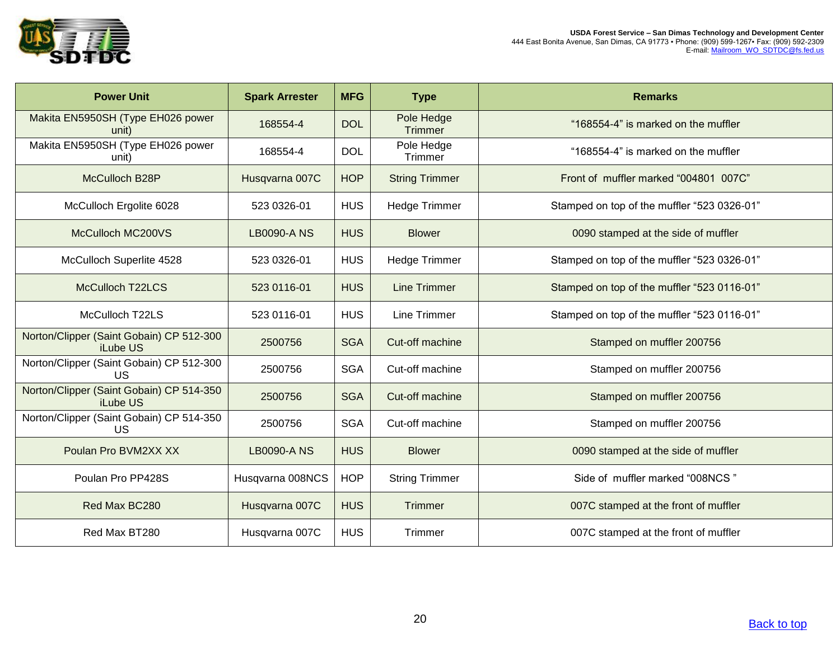

| <b>Power Unit</b>                                     | <b>Spark Arrester</b> | <b>MFG</b> | <b>Type</b>                  | <b>Remarks</b>                              |
|-------------------------------------------------------|-----------------------|------------|------------------------------|---------------------------------------------|
| Makita EN5950SH (Type EH026 power<br>unit)            | 168554-4              | <b>DOL</b> | Pole Hedge<br><b>Trimmer</b> | "168554-4" is marked on the muffler         |
| Makita EN5950SH (Type EH026 power<br>unit)            | 168554-4              | <b>DOL</b> | Pole Hedge<br>Trimmer        | "168554-4" is marked on the muffler         |
| McCulloch B28P                                        | Husqvarna 007C        | <b>HOP</b> | <b>String Trimmer</b>        | Front of muffler marked "004801 007C"       |
| McCulloch Ergolite 6028                               | 523 0326-01           | <b>HUS</b> | <b>Hedge Trimmer</b>         | Stamped on top of the muffler "523 0326-01" |
| McCulloch MC200VS                                     | <b>LB0090-A NS</b>    | <b>HUS</b> | <b>Blower</b>                | 0090 stamped at the side of muffler         |
| McCulloch Superlite 4528                              | 523 0326-01           | <b>HUS</b> | Hedge Trimmer                | Stamped on top of the muffler "523 0326-01" |
| <b>McCulloch T22LCS</b>                               | 523 0116-01           | <b>HUS</b> | <b>Line Trimmer</b>          | Stamped on top of the muffler "523 0116-01" |
| McCulloch T22LS                                       | 523 0116-01           | <b>HUS</b> | <b>Line Trimmer</b>          | Stamped on top of the muffler "523 0116-01" |
| Norton/Clipper (Saint Gobain) CP 512-300<br>iLube US  | 2500756               | <b>SGA</b> | Cut-off machine              | Stamped on muffler 200756                   |
| Norton/Clipper (Saint Gobain) CP 512-300<br>US        | 2500756               | <b>SGA</b> | Cut-off machine              | Stamped on muffler 200756                   |
| Norton/Clipper (Saint Gobain) CP 514-350<br>iLube US  | 2500756               | <b>SGA</b> | Cut-off machine              | Stamped on muffler 200756                   |
| Norton/Clipper (Saint Gobain) CP 514-350<br><b>US</b> | 2500756               | <b>SGA</b> | Cut-off machine              | Stamped on muffler 200756                   |
| Poulan Pro BVM2XX XX                                  | <b>LB0090-A NS</b>    | <b>HUS</b> | <b>Blower</b>                | 0090 stamped at the side of muffler         |
| Poulan Pro PP428S                                     | Husqvarna 008NCS      | <b>HOP</b> | <b>String Trimmer</b>        | Side of muffler marked "008NCS"             |
| Red Max BC280                                         | Husqvarna 007C        | <b>HUS</b> | <b>Trimmer</b>               | 007C stamped at the front of muffler        |
| Red Max BT280                                         | Husqvarna 007C        | <b>HUS</b> | Trimmer                      | 007C stamped at the front of muffler        |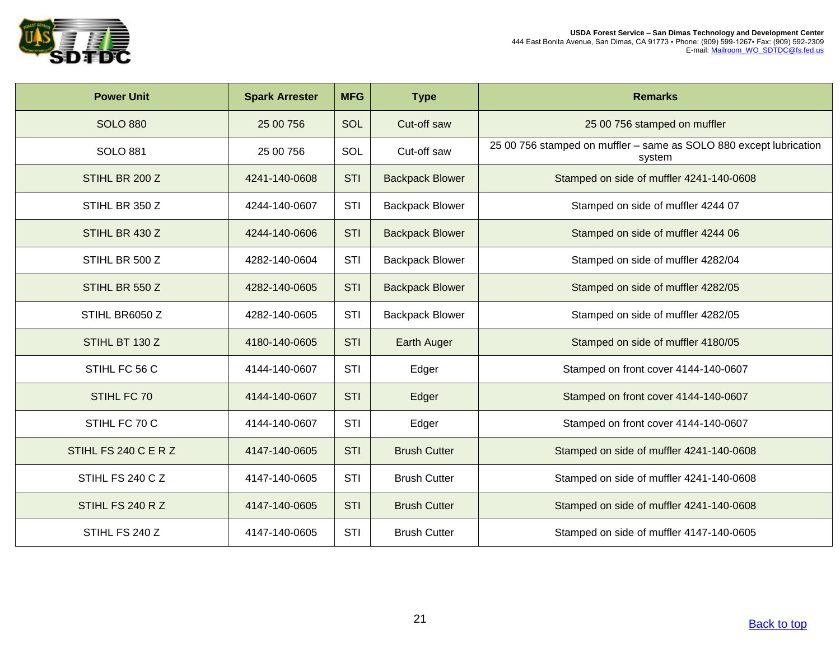

| <b>Power Unit</b>    | <b>Spark Arrester</b> | <b>MFG</b> | <b>Type</b>            | <b>Remarks</b>                                                               |
|----------------------|-----------------------|------------|------------------------|------------------------------------------------------------------------------|
| <b>SOLO 880</b>      | 25 00 756             | <b>SOL</b> | Cut-off saw            | 25 00 756 stamped on muffler                                                 |
| <b>SOLO 881</b>      | 25 00 756             | SOL        | Cut-off saw            | 25 00 756 stamped on muffler - same as SOLO 880 except lubrication<br>system |
| STIHL BR 200 Z       | 4241-140-0608         | <b>STI</b> | <b>Backpack Blower</b> | Stamped on side of muffler 4241-140-0608                                     |
| STIHL BR 350 Z       | 4244-140-0607         | STI        | <b>Backpack Blower</b> | Stamped on side of muffler 4244 07                                           |
| STIHL BR 430 Z       | 4244-140-0606         | <b>STI</b> | <b>Backpack Blower</b> | Stamped on side of muffler 4244 06                                           |
| STIHL BR 500 Z       | 4282-140-0604         | STI        | <b>Backpack Blower</b> | Stamped on side of muffler 4282/04                                           |
| STIHL BR 550 Z       | 4282-140-0605         | <b>STI</b> | <b>Backpack Blower</b> | Stamped on side of muffler 4282/05                                           |
| STIHL BR6050 Z       | 4282-140-0605         | STI        | <b>Backpack Blower</b> | Stamped on side of muffler 4282/05                                           |
| STIHL BT 130 Z       | 4180-140-0605         | <b>STI</b> | <b>Earth Auger</b>     | Stamped on side of muffler 4180/05                                           |
| STIHL FC 56 C        | 4144-140-0607         | STI        | Edger                  | Stamped on front cover 4144-140-0607                                         |
| STIHL FC 70          | 4144-140-0607         | <b>STI</b> | Edger                  | Stamped on front cover 4144-140-0607                                         |
| STIHL FC 70 C        | 4144-140-0607         | <b>STI</b> | Edger                  | Stamped on front cover 4144-140-0607                                         |
| STIHL FS 240 C E R Z | 4147-140-0605         | <b>STI</b> | <b>Brush Cutter</b>    | Stamped on side of muffler 4241-140-0608                                     |
| STIHL FS 240 C Z     | 4147-140-0605         | <b>STI</b> | <b>Brush Cutter</b>    | Stamped on side of muffler 4241-140-0608                                     |
| STIHL FS 240 R Z     | 4147-140-0605         | <b>STI</b> | <b>Brush Cutter</b>    | Stamped on side of muffler 4241-140-0608                                     |
| STIHL FS 240 Z       | 4147-140-0605         | STI        | <b>Brush Cutter</b>    | Stamped on side of muffler 4147-140-0605                                     |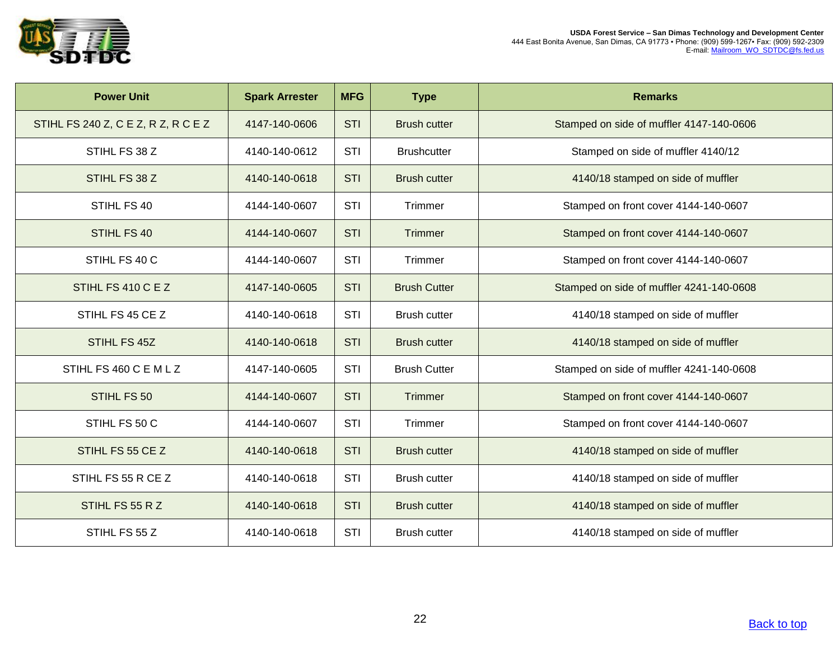

| <b>Power Unit</b>                   | <b>Spark Arrester</b> | <b>MFG</b> | <b>Type</b>         | <b>Remarks</b>                           |
|-------------------------------------|-----------------------|------------|---------------------|------------------------------------------|
| STIHL FS 240 Z, C E Z, R Z, R C E Z | 4147-140-0606         | <b>STI</b> | <b>Brush cutter</b> | Stamped on side of muffler 4147-140-0606 |
| STIHL FS 38 Z                       | 4140-140-0612         | STI        | <b>Brushcutter</b>  | Stamped on side of muffler 4140/12       |
| STIHL FS 38 Z                       | 4140-140-0618         | <b>STI</b> | <b>Brush cutter</b> | 4140/18 stamped on side of muffler       |
| STIHL FS 40                         | 4144-140-0607         | STI        | Trimmer             | Stamped on front cover 4144-140-0607     |
| STIHL FS 40                         | 4144-140-0607         | <b>STI</b> | <b>Trimmer</b>      | Stamped on front cover 4144-140-0607     |
| STIHL FS 40 C                       | 4144-140-0607         | STI        | Trimmer             | Stamped on front cover 4144-140-0607     |
| STIHL FS 410 C E Z                  | 4147-140-0605         | <b>STI</b> | <b>Brush Cutter</b> | Stamped on side of muffler 4241-140-0608 |
| STIHL FS 45 CE Z                    | 4140-140-0618         | STI        | <b>Brush cutter</b> | 4140/18 stamped on side of muffler       |
| STIHL FS 45Z                        | 4140-140-0618         | <b>STI</b> | <b>Brush cutter</b> | 4140/18 stamped on side of muffler       |
| STIHL FS 460 C E M L Z              | 4147-140-0605         | <b>STI</b> | <b>Brush Cutter</b> | Stamped on side of muffler 4241-140-0608 |
| STIHL FS 50                         | 4144-140-0607         | <b>STI</b> | Trimmer             | Stamped on front cover 4144-140-0607     |
| STIHL FS 50 C                       | 4144-140-0607         | <b>STI</b> | Trimmer             | Stamped on front cover 4144-140-0607     |
| STIHL FS 55 CE Z                    | 4140-140-0618         | <b>STI</b> | <b>Brush cutter</b> | 4140/18 stamped on side of muffler       |
| STIHL FS 55 R CE Z                  | 4140-140-0618         | <b>STI</b> | <b>Brush cutter</b> | 4140/18 stamped on side of muffler       |
| STIHL FS 55 R Z                     | 4140-140-0618         | <b>STI</b> | <b>Brush cutter</b> | 4140/18 stamped on side of muffler       |
| STIHL FS 55 Z                       | 4140-140-0618         | <b>STI</b> | <b>Brush cutter</b> | 4140/18 stamped on side of muffler       |